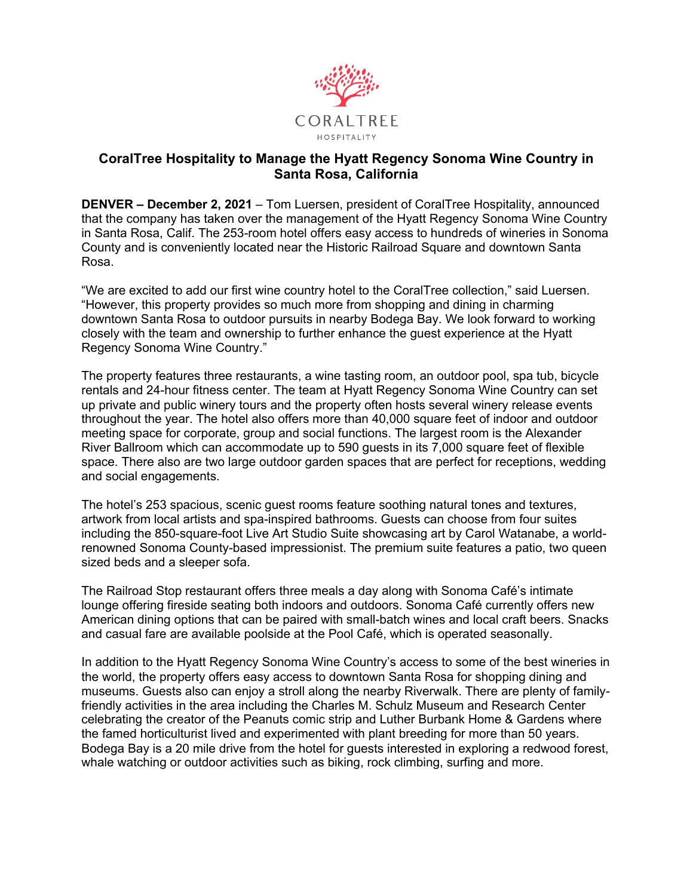

## **CoralTree Hospitality to Manage the Hyatt Regency Sonoma Wine Country in Santa Rosa, California**

**DENVER – December 2, 2021** – Tom Luersen, president of CoralTree Hospitality, announced that the company has taken over the management of the Hyatt Regency Sonoma Wine Country in Santa Rosa, Calif. The 253-room hotel offers easy access to hundreds of wineries in Sonoma County and is conveniently located near the Historic Railroad Square and downtown Santa Rosa.

"We are excited to add our first wine country hotel to the CoralTree collection," said Luersen. "However, this property provides so much more from shopping and dining in charming downtown Santa Rosa to outdoor pursuits in nearby Bodega Bay. We look forward to working closely with the team and ownership to further enhance the guest experience at the Hyatt Regency Sonoma Wine Country."

The property features three restaurants, a wine tasting room, an outdoor pool, spa tub, bicycle rentals and 24-hour fitness center. The team at Hyatt Regency Sonoma Wine Country can set up private and public winery tours and the property often hosts several winery release events throughout the year. The hotel also offers more than 40,000 square feet of indoor and outdoor meeting space for corporate, group and social functions. The largest room is the Alexander River Ballroom which can accommodate up to 590 guests in its 7,000 square feet of flexible space. There also are two large outdoor garden spaces that are perfect for receptions, wedding and social engagements.

The hotel's 253 spacious, scenic guest rooms feature soothing natural tones and textures, artwork from local artists and spa-inspired bathrooms. Guests can choose from four suites including the 850-square-foot Live Art Studio Suite showcasing art by Carol Watanabe, a worldrenowned Sonoma County-based impressionist. The premium suite features a patio, two queen sized beds and a sleeper sofa.

The Railroad Stop restaurant offers three meals a day along with Sonoma Café's intimate lounge offering fireside seating both indoors and outdoors. Sonoma Café currently offers new American dining options that can be paired with small-batch wines and local craft beers. Snacks and casual fare are available poolside at the Pool Café, which is operated seasonally.

In addition to the Hyatt Regency Sonoma Wine Country's access to some of the best wineries in the world, the property offers easy access to downtown Santa Rosa for shopping dining and museums. Guests also can enjoy a stroll along the nearby Riverwalk. There are plenty of familyfriendly activities in the area including the Charles M. Schulz Museum and Research Center celebrating the creator of the Peanuts comic strip and Luther Burbank Home & Gardens where the famed horticulturist lived and experimented with plant breeding for more than 50 years. Bodega Bay is a 20 mile drive from the hotel for guests interested in exploring a redwood forest, whale watching or outdoor activities such as biking, rock climbing, surfing and more.